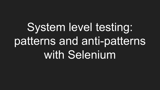System level testing: patterns and anti-patterns with Selenium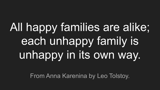# All happy families are alike; each unhappy family is unhappy in its own way.

From Anna Karenina by Leo Tolstoy.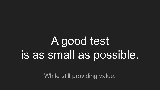### A good test is as small as possible.

While still providing value.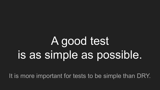# A good test is as simple as possible.

It is more important for tests to be simple than DRY.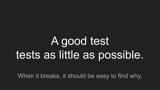### A good test tests as little as possible.

When it breaks, it should be easy to find why.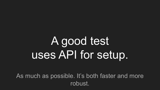# A good test uses API for setup.

As much as possible. It's both faster and more robust.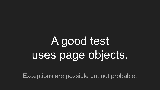Exceptions are possible but not probable.

# A good test uses page objects.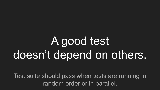# A good test doesn't depend on others.

Test suite should pass when tests are running in random order or in parallel.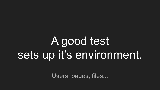## A good test sets up it's environment.

Users, pages, files...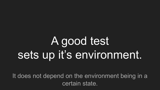# A good test sets up it's environment.

It does not depend on the environment being in a certain state.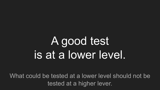# A good test is at a lower level.

What could be tested at a lower level should not be tested at a higher lever.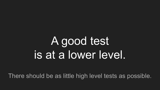# A good test is at a lower level.

There should be as little high level tests as possible.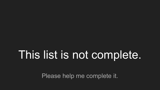#### This list is not complete.

Please help me complete it.